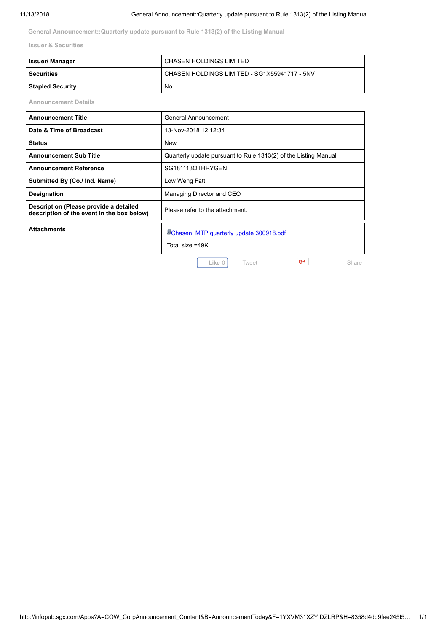**General Announcement::Quarterly update pursuant to Rule 1313(2) of the Listing Manual**

**Issuer & Securities**

| <b>Issuer/Manager</b>   | CHASEN HOLDINGS LIMITED                      |
|-------------------------|----------------------------------------------|
| Securities              | CHASEN HOLDINGS LIMITED - SG1X55941717 - 5NV |
| <b>Stapled Security</b> | No.                                          |

**Announcement Details**

| <b>Announcement Title</b>                                                            | General Announcement                                              |
|--------------------------------------------------------------------------------------|-------------------------------------------------------------------|
| Date & Time of Broadcast                                                             | 13-Nov-2018 12:12:34                                              |
| <b>Status</b>                                                                        | New                                                               |
| <b>Announcement Sub Title</b>                                                        | Quarterly update pursuant to Rule 1313(2) of the Listing Manual   |
| <b>Announcement Reference</b>                                                        | SG181113OTHRYGEN                                                  |
| Submitted By (Co./ Ind. Name)                                                        | Low Weng Fatt                                                     |
| <b>Designation</b>                                                                   | Managing Director and CEO                                         |
| Description (Please provide a detailed<br>description of the event in the box below) | Please refer to the attachment.                                   |
| <b>Attachments</b>                                                                   | <b>WChasen MTP quarterly update 300918.pdf</b><br>Total size =49K |
|                                                                                      | G+<br>Like 0<br>Tweet<br>Share                                    |